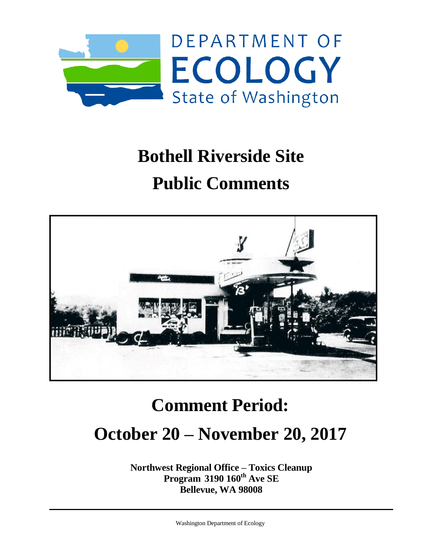

# **Bothell Riverside Site Public Comments**



## **Comment Period:**

## **October 20 – November 20, 2017**

**Northwest Regional Office – Toxics Cleanup Program 3190 160th Ave SE Bellevue, WA 98008**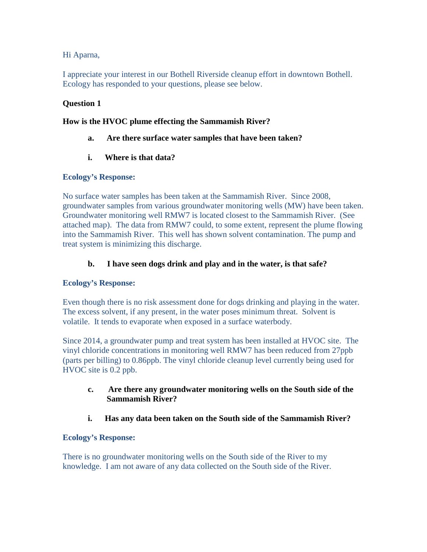## Hi Aparna,

I appreciate your interest in our Bothell Riverside cleanup effort in downtown Bothell. Ecology has responded to your questions, please see below.

## **Question 1**

## **How is the HVOC plume effecting the Sammamish River?**

- **a. Are there surface water samples that have been taken?**
- **i. Where is that data?**

## **Ecology's Response:**

No surface water samples has been taken at the Sammamish River. Since 2008, groundwater samples from various groundwater monitoring wells (MW) have been taken. Groundwater monitoring well RMW7 is located closest to the Sammamish River. (See attached map). The data from RMW7 could, to some extent, represent the plume flowing into the Sammamish River. This well has shown solvent contamination. The pump and treat system is minimizing this discharge.

## **b. I have seen dogs drink and play and in the water, is that safe?**

## **Ecology's Response:**

Even though there is no risk assessment done for dogs drinking and playing in the water. The excess solvent, if any present, in the water poses minimum threat. Solvent is volatile. It tends to evaporate when exposed in a surface waterbody.

Since 2014, a groundwater pump and treat system has been installed at HVOC site. The vinyl chloride concentrations in monitoring well RMW7 has been reduced from 27ppb (parts per billing) to 0.86ppb. The vinyl chloride cleanup level currently being used for HVOC site is 0.2 ppb.

## **c. Are there any groundwater monitoring wells on the South side of the Sammamish River?**

## **i. Has any data been taken on the South side of the Sammamish River?**

## **Ecology's Response:**

There is no groundwater monitoring wells on the South side of the River to my knowledge. I am not aware of any data collected on the South side of the River.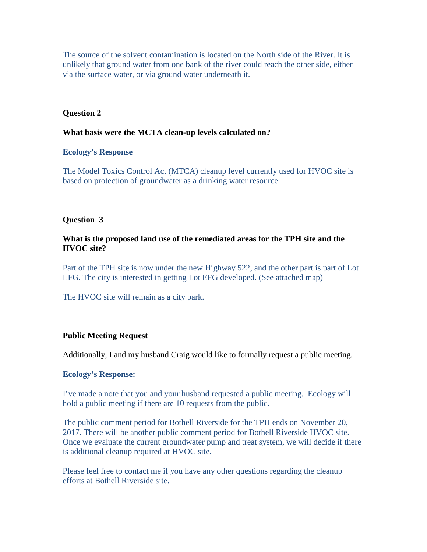The source of the solvent contamination is located on the North side of the River. It is unlikely that ground water from one bank of the river could reach the other side, either via the surface water, or via ground water underneath it.

## **Question 2**

## **What basis were the MCTA clean-up levels calculated on?**

## **Ecology's Response**

The Model Toxics Control Act (MTCA) cleanup level currently used for HVOC site is based on protection of groundwater as a drinking water resource.

## **Question 3**

## **What is the proposed land use of the remediated areas for the TPH site and the HVOC site?**

Part of the TPH site is now under the new Highway 522, and the other part is part of Lot EFG. The city is interested in getting Lot EFG developed. (See attached map)

The HVOC site will remain as a city park.

## **Public Meeting Request**

Additionally, I and my husband Craig would like to formally request a public meeting.

#### **Ecology's Response:**

I've made a note that you and your husband requested a public meeting. Ecology will hold a public meeting if there are 10 requests from the public.

The public comment period for Bothell Riverside for the TPH ends on November 20, 2017. There will be another public comment period for Bothell Riverside HVOC site. Once we evaluate the current groundwater pump and treat system, we will decide if there is additional cleanup required at HVOC site.

Please feel free to contact me if you have any other questions regarding the cleanup efforts at Bothell Riverside site.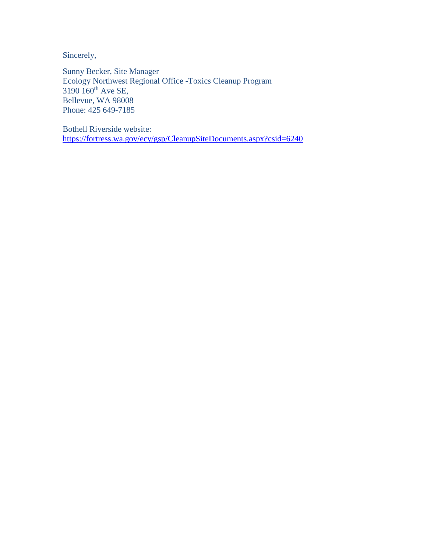Sincerely,

Sunny Becker, Site Manager Ecology Northwest Regional Office -Toxics Cleanup Program  $3190 \, 160$ <sup>th</sup> Ave SE, Bellevue, WA 98008 Phone: 425 649-7185

Bothell Riverside website: <https://fortress.wa.gov/ecy/gsp/CleanupSiteDocuments.aspx?csid=6240>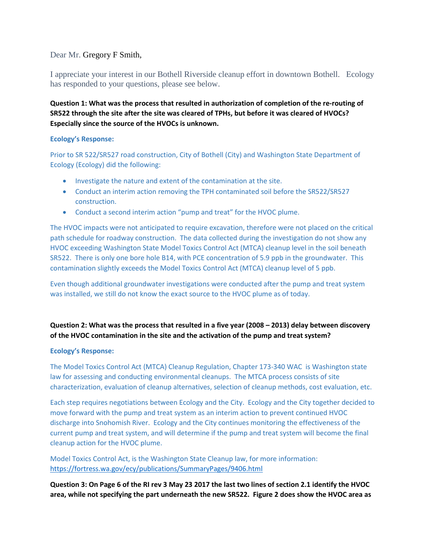Dear Mr. Gregory F Smith,

I appreciate your interest in our Bothell Riverside cleanup effort in downtown Bothell. Ecology has responded to your questions, please see below.

**Question 1: What was the process that resulted in authorization of completion of the re-routing of SR522 through the site after the site was cleared of TPHs, but before it was cleared of HVOCs? Especially since the source of the HVOCs is unknown.**

#### **Ecology's Response:**

Prior to SR 522/SR527 road construction, City of Bothell (City) and Washington State Department of Ecology (Ecology) did the following:

- Investigate the nature and extent of the contamination at the site.
- Conduct an interim action removing the TPH contaminated soil before the SR522/SR527 construction.
- Conduct a second interim action "pump and treat" for the HVOC plume.

The HVOC impacts were not anticipated to require excavation, therefore were not placed on the critical path schedule for roadway construction. The data collected during the investigation do not show any HVOC exceeding Washington State Model Toxics Control Act (MTCA) cleanup level in the soil beneath SR522. There is only one bore hole B14, with PCE concentration of 5.9 ppb in the groundwater. This contamination slightly exceeds the Model Toxics Control Act (MTCA) cleanup level of 5 ppb.

Even though additional groundwater investigations were conducted after the pump and treat system was installed, we still do not know the exact source to the HVOC plume as of today.

## **Question 2: What was the process that resulted in a five year (2008 – 2013) delay between discovery of the HVOC contamination in the site and the activation of the pump and treat system?**

#### **Ecology's Response:**

The Model Toxics Control Act (MTCA) Cleanup Regulation, Chapter 173-340 WAC is Washington state law for assessing and conducting environmental cleanups. The MTCA process consists of site characterization, evaluation of cleanup alternatives, selection of cleanup methods, cost evaluation, etc.

Each step requires negotiations between Ecology and the City. Ecology and the City together decided to move forward with the pump and treat system as an interim action to prevent continued HVOC discharge into Snohomish River. Ecology and the City continues monitoring the effectiveness of the current pump and treat system, and will determine if the pump and treat system will become the final cleanup action for the HVOC plume.

Model Toxics Control Act, is the Washington State Cleanup law, for more information: <https://fortress.wa.gov/ecy/publications/SummaryPages/9406.html>

**Question 3: On Page 6 of the RI rev 3 May 23 2017 the last two lines of section 2.1 identify the HVOC area, while not specifying the part underneath the new SR522. Figure 2 does show the HVOC area as**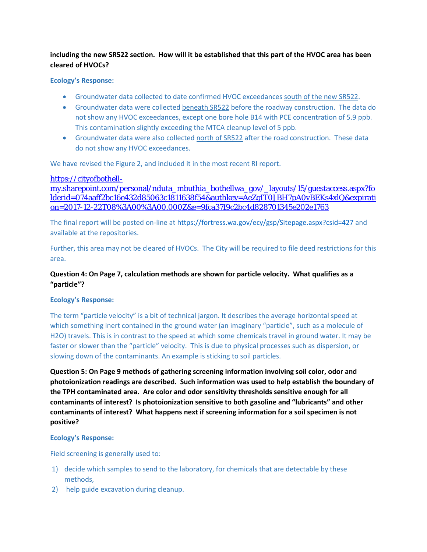## **including the new SR522 section. How will it be established that this part of the HVOC area has been cleared of HVOCs?**

#### **Ecology's Response:**

- Groundwater data collected to date confirmed HVOC exceedances south of the new SR522.
- Groundwater data were collected beneath SR522 before the roadway construction. The data do not show any HVOC exceedances, except one bore hole B14 with PCE concentration of 5.9 ppb. This contamination slightly exceeding the MTCA cleanup level of 5 ppb.
- Groundwater data were also collected north of SR522 after the road construction. These data do not show any HVOC exceedances.

We have revised the Figure 2, and included it in the most recent RI report.

#### [https://cityofbothell-](https://cityofbothell-my.sharepoint.com/personal/nduta_mbuthia_bothellwa_gov/_layouts/15/guestaccess.aspx?folderid=074aaff2bc16e432d85063c1811638f54&authkey=AeZgIT0JBH7pA0vBEKs4xlQ&expiration=2017-12-22T08%3A00%3A00.000Z&e=9fca37f9c2bc4d828701345e202e1763)

[my.sharepoint.com/personal/nduta\\_mbuthia\\_bothellwa\\_gov/\\_layouts/15/guestaccess.aspx?fo](https://cityofbothell-my.sharepoint.com/personal/nduta_mbuthia_bothellwa_gov/_layouts/15/guestaccess.aspx?folderid=074aaff2bc16e432d85063c1811638f54&authkey=AeZgIT0JBH7pA0vBEKs4xlQ&expiration=2017-12-22T08%3A00%3A00.000Z&e=9fca37f9c2bc4d828701345e202e1763) [lderid=074aaff2bc16e432d85063c1811638f54&authkey=AeZgIT0JBH7pA0vBEKs4xlQ&expirati](https://cityofbothell-my.sharepoint.com/personal/nduta_mbuthia_bothellwa_gov/_layouts/15/guestaccess.aspx?folderid=074aaff2bc16e432d85063c1811638f54&authkey=AeZgIT0JBH7pA0vBEKs4xlQ&expiration=2017-12-22T08%3A00%3A00.000Z&e=9fca37f9c2bc4d828701345e202e1763) [on=2017-12-22T08%3A00%3A00.000Z&e=9fca37f9c2bc4d828701345e202e1763](https://cityofbothell-my.sharepoint.com/personal/nduta_mbuthia_bothellwa_gov/_layouts/15/guestaccess.aspx?folderid=074aaff2bc16e432d85063c1811638f54&authkey=AeZgIT0JBH7pA0vBEKs4xlQ&expiration=2017-12-22T08%3A00%3A00.000Z&e=9fca37f9c2bc4d828701345e202e1763)

The final report will be posted on-line at<https://fortress.wa.gov/ecy/gsp/Sitepage.aspx?csid=427> and available at the repositories.

Further, this area may not be cleared of HVOCs. The City will be required to file deed restrictions for this area.

## **Question 4: On Page 7, calculation methods are shown for particle velocity. What qualifies as a "particle"?**

#### **Ecology's Response:**

The term "particle velocity" is a bit of technical jargon. It describes the average horizontal speed at which something inert contained in the ground water (an imaginary "particle", such as a molecule of H2O) travels. This is in contrast to the speed at which some chemicals travel in ground water. It may be faster or slower than the "particle" velocity. This is due to physical processes such as dispersion, or slowing down of the contaminants. An example is sticking to soil particles.

**Question 5: On Page 9 methods of gathering screening information involving soil color, odor and photoionization readings are described. Such information was used to help establish the boundary of the TPH contaminated area. Are color and odor sensitivity thresholds sensitive enough for all contaminants of interest? Is photoionization sensitive to both gasoline and "lubricants" and other contaminants of interest? What happens next if screening information for a soil specimen is not positive?**

#### **Ecology's Response:**

Field screening is generally used to:

- 1) decide which samples to send to the laboratory, for chemicals that are detectable by these methods,
- 2) help guide excavation during cleanup.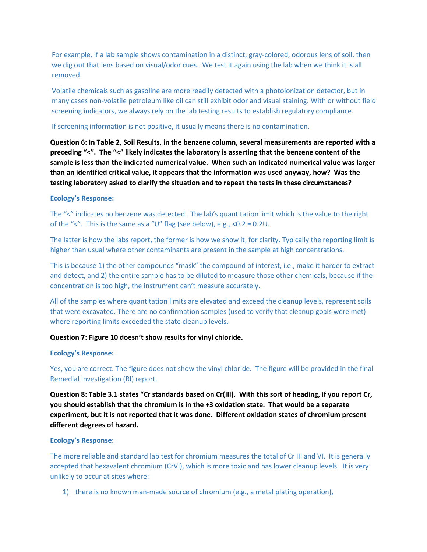For example, if a lab sample shows contamination in a distinct, gray-colored, odorous lens of soil, then we dig out that lens based on visual/odor cues. We test it again using the lab when we think it is all removed.

Volatile chemicals such as gasoline are more readily detected with a photoionization detector, but in many cases non-volatile petroleum like oil can still exhibit odor and visual staining. With or without field screening indicators, we always rely on the lab testing results to establish regulatory compliance.

#### If screening information is not positive, it usually means there is no contamination.

**Question 6: In Table 2, Soil Results, in the benzene column, several measurements are reported with a preceding "<". The "<" likely indicates the laboratory is asserting that the benzene content of the sample is less than the indicated numerical value. When such an indicated numerical value was larger than an identified critical value, it appears that the information was used anyway, how? Was the testing laboratory asked to clarify the situation and to repeat the tests in these circumstances?**

#### **Ecology's Response:**

The "<" indicates no benzene was detected. The lab's quantitation limit which is the value to the right of the "<". This is the same as a "U" flag (see below), e.g., <0.2 = 0.2U.

The latter is how the labs report, the former is how we show it, for clarity. Typically the reporting limit is higher than usual where other contaminants are present in the sample at high concentrations.

This is because 1) the other compounds "mask" the compound of interest, i.e., make it harder to extract and detect, and 2) the entire sample has to be diluted to measure those other chemicals, because if the concentration is too high, the instrument can't measure accurately.

All of the samples where quantitation limits are elevated and exceed the cleanup levels, represent soils that were excavated. There are no confirmation samples (used to verify that cleanup goals were met) where reporting limits exceeded the state cleanup levels.

#### **Question 7: Figure 10 doesn't show results for vinyl chloride.**

#### **Ecology's Response:**

Yes, you are correct. The figure does not show the vinyl chloride. The figure will be provided in the final Remedial Investigation (RI) report.

**Question 8: Table 3.1 states "Cr standards based on Cr(III). With this sort of heading, if you report Cr, you should establish that the chromium is in the +3 oxidation state. That would be a separate experiment, but it is not reported that it was done. Different oxidation states of chromium present different degrees of hazard.**

#### **Ecology's Response:**

The more reliable and standard lab test for chromium measures the total of Cr III and VI. It is generally accepted that hexavalent chromium (CrVI), which is more toxic and has lower cleanup levels. It is very unlikely to occur at sites where:

1) there is no known man-made source of chromium (e.g., a metal plating operation),